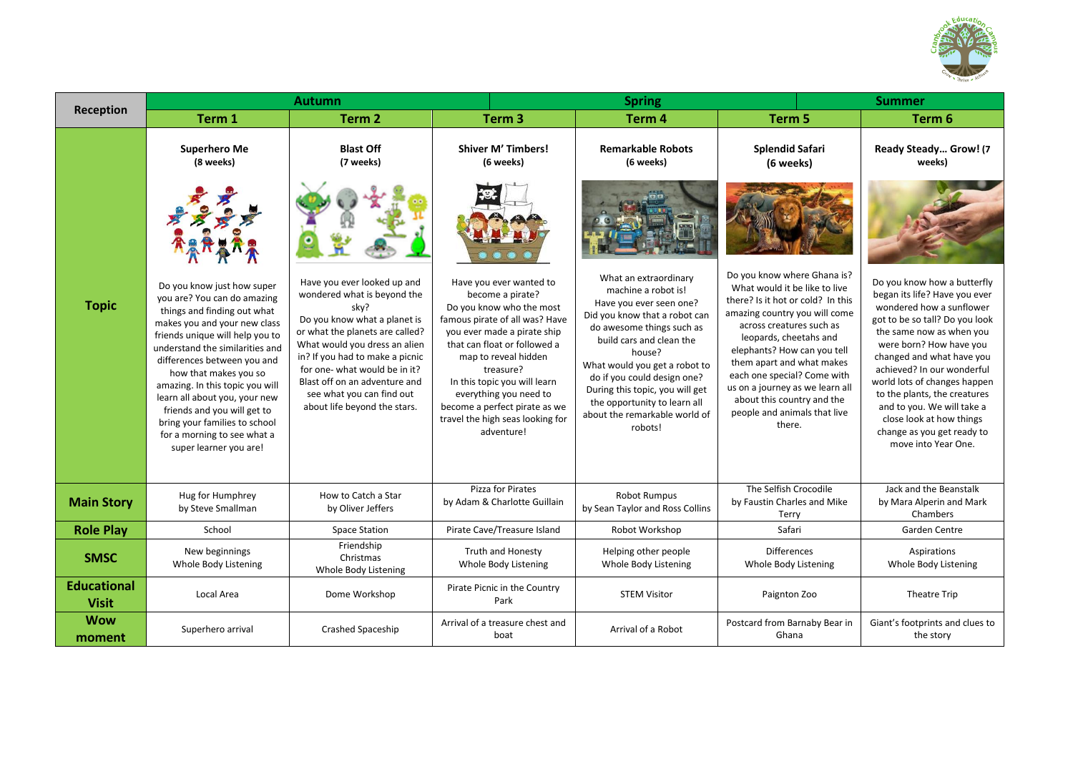

|                                    | <b>Autumn</b>                                                                                                                                                                                                                                                                                                                                                                                                                                       |                                                                                                                                                                                                                                                                                                                                          |                                                                                                                                                                                                                                                                                                                                                            | <b>Spring</b>                                                                                                                                                                                                                                                                                                                                              | <b>Summer</b>                                                                                                                                                                                                                                                                                                                                                                                  |                                                                                                                                                                                                                                                                                                                                                                                                                             |
|------------------------------------|-----------------------------------------------------------------------------------------------------------------------------------------------------------------------------------------------------------------------------------------------------------------------------------------------------------------------------------------------------------------------------------------------------------------------------------------------------|------------------------------------------------------------------------------------------------------------------------------------------------------------------------------------------------------------------------------------------------------------------------------------------------------------------------------------------|------------------------------------------------------------------------------------------------------------------------------------------------------------------------------------------------------------------------------------------------------------------------------------------------------------------------------------------------------------|------------------------------------------------------------------------------------------------------------------------------------------------------------------------------------------------------------------------------------------------------------------------------------------------------------------------------------------------------------|------------------------------------------------------------------------------------------------------------------------------------------------------------------------------------------------------------------------------------------------------------------------------------------------------------------------------------------------------------------------------------------------|-----------------------------------------------------------------------------------------------------------------------------------------------------------------------------------------------------------------------------------------------------------------------------------------------------------------------------------------------------------------------------------------------------------------------------|
| Reception                          | Term 1                                                                                                                                                                                                                                                                                                                                                                                                                                              | Term <sub>2</sub>                                                                                                                                                                                                                                                                                                                        | Term <sub>3</sub>                                                                                                                                                                                                                                                                                                                                          | Term 4                                                                                                                                                                                                                                                                                                                                                     | Term 5                                                                                                                                                                                                                                                                                                                                                                                         | Term 6                                                                                                                                                                                                                                                                                                                                                                                                                      |
|                                    | <b>Superhero Me</b><br>(8 weeks)                                                                                                                                                                                                                                                                                                                                                                                                                    | <b>Blast Off</b><br>(7 weeks)                                                                                                                                                                                                                                                                                                            | <b>Shiver M' Timbers!</b><br>(6 weeks)                                                                                                                                                                                                                                                                                                                     | <b>Remarkable Robots</b><br>(6 weeks)                                                                                                                                                                                                                                                                                                                      | <b>Splendid Safari</b><br>(6 weeks)                                                                                                                                                                                                                                                                                                                                                            | Ready Steady Grow! (7<br>weeks)                                                                                                                                                                                                                                                                                                                                                                                             |
|                                    |                                                                                                                                                                                                                                                                                                                                                                                                                                                     |                                                                                                                                                                                                                                                                                                                                          |                                                                                                                                                                                                                                                                                                                                                            |                                                                                                                                                                                                                                                                                                                                                            |                                                                                                                                                                                                                                                                                                                                                                                                |                                                                                                                                                                                                                                                                                                                                                                                                                             |
| <b>Topic</b>                       | Do you know just how super<br>you are? You can do amazing<br>things and finding out what<br>makes you and your new class<br>friends unique will help you to<br>understand the similarities and<br>differences between you and<br>how that makes you so<br>amazing. In this topic you will<br>learn all about you, your new<br>friends and you will get to<br>bring your families to school<br>for a morning to see what a<br>super learner you are! | Have you ever looked up and<br>wondered what is beyond the<br>sky?<br>Do you know what a planet is<br>or what the planets are called?<br>What would you dress an alien<br>in? If you had to make a picnic<br>for one- what would be in it?<br>Blast off on an adventure and<br>see what you can find out<br>about life beyond the stars. | Have you ever wanted to<br>become a pirate?<br>Do you know who the most<br>famous pirate of all was? Have<br>you ever made a pirate ship<br>that can float or followed a<br>map to reveal hidden<br>treasure?<br>In this topic you will learn<br>everything you need to<br>become a perfect pirate as we<br>travel the high seas looking for<br>adventure! | What an extraordinary<br>machine a robot is!<br>Have you ever seen one?<br>Did you know that a robot can<br>do awesome things such as<br>build cars and clean the<br>house?<br>What would you get a robot to<br>do if you could design one?<br>During this topic, you will get<br>the opportunity to learn all<br>about the remarkable world of<br>robots! | Do you know where Ghana is?<br>What would it be like to live<br>there? Is it hot or cold? In this<br>amazing country you will come<br>across creatures such as<br>leopards, cheetahs and<br>elephants? How can you tell<br>them apart and what makes<br>each one special? Come with<br>us on a journey as we learn all<br>about this country and the<br>people and animals that live<br>there. | Do you know how a butterfly<br>began its life? Have you ever<br>wondered how a sunflower<br>got to be so tall? Do you look<br>the same now as when you<br>were born? How have you<br>changed and what have you<br>achieved? In our wonderful<br>world lots of changes happen<br>to the plants, the creatures<br>and to you. We will take a<br>close look at how things<br>change as you get ready to<br>move into Year One. |
| <b>Main Story</b>                  | Hug for Humphrey<br>by Steve Smallman                                                                                                                                                                                                                                                                                                                                                                                                               | How to Catch a Star<br>by Oliver Jeffers                                                                                                                                                                                                                                                                                                 | Pizza for Pirates<br>by Adam & Charlotte Guillain                                                                                                                                                                                                                                                                                                          | Robot Rumpus<br>by Sean Taylor and Ross Collins                                                                                                                                                                                                                                                                                                            | The Selfish Crocodile<br>by Faustin Charles and Mike<br>Terry                                                                                                                                                                                                                                                                                                                                  | Jack and the Beanstalk<br>by Mara Alperin and Mark<br>Chambers                                                                                                                                                                                                                                                                                                                                                              |
| <b>Role Play</b>                   | School                                                                                                                                                                                                                                                                                                                                                                                                                                              | <b>Space Station</b>                                                                                                                                                                                                                                                                                                                     | Pirate Cave/Treasure Island                                                                                                                                                                                                                                                                                                                                | Robot Workshop                                                                                                                                                                                                                                                                                                                                             | Safari                                                                                                                                                                                                                                                                                                                                                                                         | Garden Centre                                                                                                                                                                                                                                                                                                                                                                                                               |
| <b>SMSC</b>                        | New beginnings<br>Whole Body Listening                                                                                                                                                                                                                                                                                                                                                                                                              | Friendship<br>Christmas<br>Whole Body Listening                                                                                                                                                                                                                                                                                          | Truth and Honesty<br>Whole Body Listening                                                                                                                                                                                                                                                                                                                  | Helping other people<br>Whole Body Listening                                                                                                                                                                                                                                                                                                               | <b>Differences</b><br>Whole Body Listening                                                                                                                                                                                                                                                                                                                                                     | Aspirations<br>Whole Body Listening                                                                                                                                                                                                                                                                                                                                                                                         |
| <b>Educational</b><br><b>Visit</b> | Local Area                                                                                                                                                                                                                                                                                                                                                                                                                                          | Dome Workshop                                                                                                                                                                                                                                                                                                                            | Pirate Picnic in the Country<br>Park                                                                                                                                                                                                                                                                                                                       | <b>STEM Visitor</b>                                                                                                                                                                                                                                                                                                                                        | Paignton Zoo                                                                                                                                                                                                                                                                                                                                                                                   | Theatre Trip                                                                                                                                                                                                                                                                                                                                                                                                                |
| <b>Wow</b><br>moment               | Superhero arrival                                                                                                                                                                                                                                                                                                                                                                                                                                   | Crashed Spaceship                                                                                                                                                                                                                                                                                                                        | Arrival of a treasure chest and<br>boat                                                                                                                                                                                                                                                                                                                    | Arrival of a Robot                                                                                                                                                                                                                                                                                                                                         | Postcard from Barnaby Bear in<br>Ghana                                                                                                                                                                                                                                                                                                                                                         | Giant's footprints and clues to<br>the story                                                                                                                                                                                                                                                                                                                                                                                |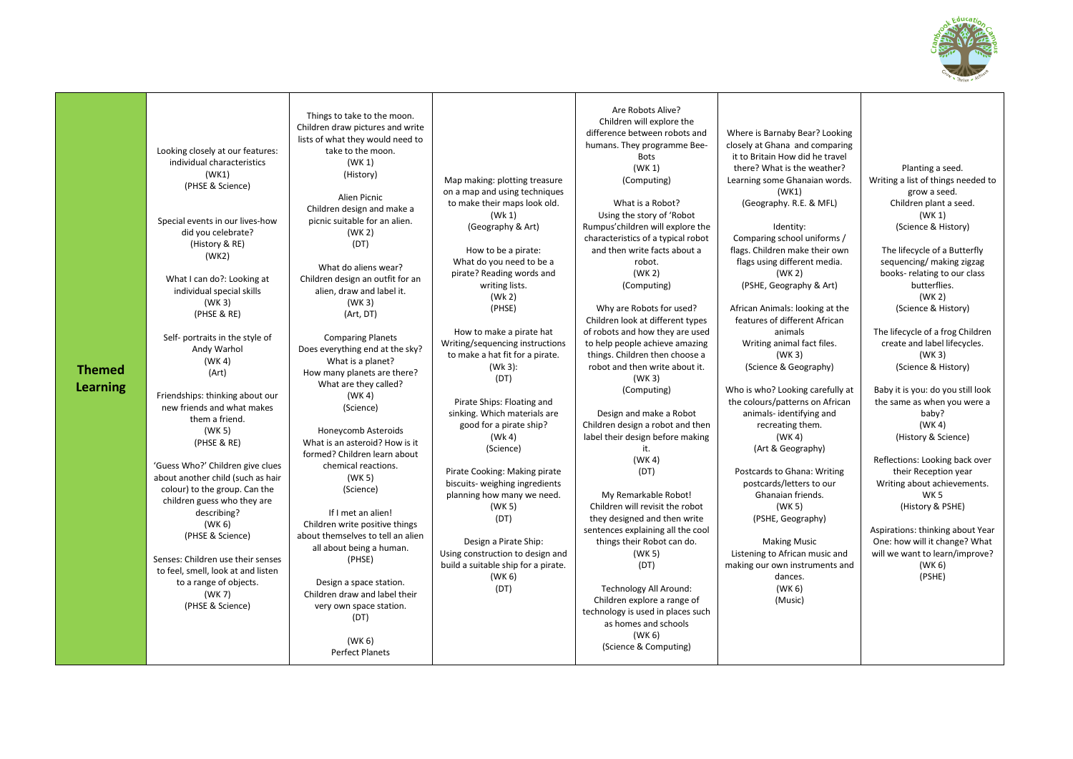

| <b>Themed</b><br><b>Learning</b> | Looking closely at our features:<br>individual characteristics<br>(WK1)<br>(PHSE & Science)<br>Special events in our lives-how<br>did you celebrate?<br>(History & RE)<br>(WK2)<br>What I can do?: Looking at<br>individual special skills<br>(WK <sub>3</sub> )<br>(PHSE & RE)<br>Self- portraits in the style of<br>Andy Warhol<br>(WK 4)<br>(Art)<br>Friendships: thinking about our<br>new friends and what makes<br>them a friend.<br>(WK 5)<br>(PHSE & RE)<br>'Guess Who?' Children give clues<br>about another child (such as hair<br>colour) to the group. Can the<br>children guess who they are<br>describing?<br>(WK <sub>6</sub> )<br>(PHSE & Science)<br>Senses: Children use their senses<br>to feel, smell, look at and listen<br>to a range of objects.<br>(WK 7)<br>(PHSE & Science) | Things to take to the moon.<br>Children draw pictures and write<br>lists of what they would need to<br>take to the moon.<br>(WK 1)<br>(History)<br>Alien Picnic<br>Children design and make a<br>picnic suitable for an alien.<br>(WK <sub>2</sub> )<br>(DT)<br>What do aliens wear?<br>Children design an outfit for an<br>alien, draw and label it.<br>(WK 3)<br>(Art, DT)<br><b>Comparing Planets</b><br>Does everything end at the sky?<br>What is a planet?<br>How many planets are there?<br>What are they called?<br>(WK 4)<br>(Science)<br>Honeycomb Asteroids<br>What is an asteroid? How is it<br>formed? Children learn about<br>chemical reactions.<br>(WK <sub>5</sub> )<br>(Science)<br>If I met an alien!<br>Children write positive things<br>about themselves to tell an alien<br>all about being a human.<br>(PHSE)<br>Design a space station.<br>Children draw and label their<br>very own space station. | Map making: plotting treasure<br>on a map and using techniques<br>to make their maps look old.<br>(Wk 1)<br>(Geography & Art)<br>How to be a pirate:<br>What do you need to be a<br>pirate? Reading words and<br>writing lists.<br>(Wk 2)<br>(PHSE)<br>How to make a pirate hat<br>Writing/sequencing instructions<br>to make a hat fit for a pirate.<br>(Wk 3):<br>(DT)<br>Pirate Ships: Floating and<br>sinking. Which materials are<br>good for a pirate ship?<br>(Wk 4)<br>(Science)<br>Pirate Cooking: Making pirate<br>biscuits- weighing ingredients<br>planning how many we need.<br>(WK 5)<br>(DT)<br>Design a Pirate Ship:<br>Using construction to design and<br>build a suitable ship for a pirate.<br>(WK 6)<br>(DT) | Are Robots Alive?<br>Children will explore the<br>difference between robots and<br>humans. They programme Bee-<br><b>Bots</b><br>(WK 1)<br>(Computing)<br>What is a Robot?<br>Using the story of 'Robot<br>Rumpus'children will explore the<br>characteristics of a typical robot<br>and then write facts about a<br>robot.<br>(WK <sub>2</sub> )<br>(Computing)<br>Why are Robots for used?<br>Children look at different types<br>of robots and how they are used<br>to help people achieve amazing<br>things. Children then choose a<br>robot and then write about it.<br>(WK <sub>3</sub> )<br>(Computing)<br>Design and make a Robot<br>Children design a robot and then<br>label their design before making<br>it.<br>(WK 4)<br>(DT)<br>My Remarkable Robot!<br>Children will revisit the robot<br>they designed and then write<br>sentences explaining all the cool<br>things their Robot can do.<br>(WK 5)<br>(DT)<br>Technology All Around:<br>Children explore a range of<br>technology is used in places such | Where is Barnaby Bear? Looking<br>closely at Ghana and comparing<br>it to Britain How did he travel<br>there? What is the weather?<br>Learning some Ghanaian words.<br>(WK1)<br>(Geography. R.E. & MFL)<br>Identity:<br>Comparing school uniforms /<br>flags. Children make their own<br>flags using different media.<br>(WK <sub>2</sub> )<br>(PSHE, Geography & Art)<br>African Animals: looking at the<br>features of different African<br>animals<br>Writing animal fact files.<br>(WK <sub>3</sub> )<br>(Science & Geography)<br>Who is who? Looking carefully at<br>the colours/patterns on African<br>animals-identifying and<br>recreating them.<br>(WK 4)<br>(Art & Geography)<br>Postcards to Ghana: Writing<br>postcards/letters to our<br>Ghanaian friends.<br>(WK 5)<br>(PSHE, Geography)<br><b>Making Music</b><br>Listening to African music and<br>making our own instruments and<br>dances.<br>(WK <sub>6</sub> )<br>(Music) | Planting a seed.<br>Writing a list of things needed to<br>grow a seed.<br>Children plant a seed.<br>(WK 1)<br>(Science & History)<br>The lifecycle of a Butterfly<br>sequencing/ making zigzag<br>books-relating to our class<br>butterflies.<br>(WK <sub>2</sub> )<br>(Science & History)<br>The lifecycle of a frog Children<br>create and label lifecycles.<br>(WK <sub>3</sub> )<br>(Science & History)<br>Baby it is you: do you still look<br>the same as when you were a<br>baby?<br>(WK 4)<br>(History & Science)<br>Reflections: Looking back over<br>their Reception year<br>Writing about achievements.<br>WK <sub>5</sub><br>(History & PSHE)<br>Aspirations: thinking about Year<br>One: how will it change? What<br>will we want to learn/improve?<br>(WK 6)<br>(PSHE) |
|----------------------------------|-------------------------------------------------------------------------------------------------------------------------------------------------------------------------------------------------------------------------------------------------------------------------------------------------------------------------------------------------------------------------------------------------------------------------------------------------------------------------------------------------------------------------------------------------------------------------------------------------------------------------------------------------------------------------------------------------------------------------------------------------------------------------------------------------------|------------------------------------------------------------------------------------------------------------------------------------------------------------------------------------------------------------------------------------------------------------------------------------------------------------------------------------------------------------------------------------------------------------------------------------------------------------------------------------------------------------------------------------------------------------------------------------------------------------------------------------------------------------------------------------------------------------------------------------------------------------------------------------------------------------------------------------------------------------------------------------------------------------------------------|-----------------------------------------------------------------------------------------------------------------------------------------------------------------------------------------------------------------------------------------------------------------------------------------------------------------------------------------------------------------------------------------------------------------------------------------------------------------------------------------------------------------------------------------------------------------------------------------------------------------------------------------------------------------------------------------------------------------------------------|--------------------------------------------------------------------------------------------------------------------------------------------------------------------------------------------------------------------------------------------------------------------------------------------------------------------------------------------------------------------------------------------------------------------------------------------------------------------------------------------------------------------------------------------------------------------------------------------------------------------------------------------------------------------------------------------------------------------------------------------------------------------------------------------------------------------------------------------------------------------------------------------------------------------------------------------------------------------------------------------------------------------------|-----------------------------------------------------------------------------------------------------------------------------------------------------------------------------------------------------------------------------------------------------------------------------------------------------------------------------------------------------------------------------------------------------------------------------------------------------------------------------------------------------------------------------------------------------------------------------------------------------------------------------------------------------------------------------------------------------------------------------------------------------------------------------------------------------------------------------------------------------------------------------------------------------------------------------------------------|--------------------------------------------------------------------------------------------------------------------------------------------------------------------------------------------------------------------------------------------------------------------------------------------------------------------------------------------------------------------------------------------------------------------------------------------------------------------------------------------------------------------------------------------------------------------------------------------------------------------------------------------------------------------------------------------------------------------------------------------------------------------------------------|
|                                  |                                                                                                                                                                                                                                                                                                                                                                                                                                                                                                                                                                                                                                                                                                                                                                                                       | (DT)<br>(WK 6)                                                                                                                                                                                                                                                                                                                                                                                                                                                                                                                                                                                                                                                                                                                                                                                                                                                                                                               |                                                                                                                                                                                                                                                                                                                                                                                                                                                                                                                                                                                                                                                                                                                                   | as homes and schools<br>(WK <sub>6</sub> )                                                                                                                                                                                                                                                                                                                                                                                                                                                                                                                                                                                                                                                                                                                                                                                                                                                                                                                                                                               |                                                                                                                                                                                                                                                                                                                                                                                                                                                                                                                                                                                                                                                                                                                                                                                                                                                                                                                                               |                                                                                                                                                                                                                                                                                                                                                                                                                                                                                                                                                                                                                                                                                                                                                                                      |
|                                  |                                                                                                                                                                                                                                                                                                                                                                                                                                                                                                                                                                                                                                                                                                                                                                                                       | <b>Perfect Planets</b>                                                                                                                                                                                                                                                                                                                                                                                                                                                                                                                                                                                                                                                                                                                                                                                                                                                                                                       |                                                                                                                                                                                                                                                                                                                                                                                                                                                                                                                                                                                                                                                                                                                                   | (Science & Computing)                                                                                                                                                                                                                                                                                                                                                                                                                                                                                                                                                                                                                                                                                                                                                                                                                                                                                                                                                                                                    |                                                                                                                                                                                                                                                                                                                                                                                                                                                                                                                                                                                                                                                                                                                                                                                                                                                                                                                                               |                                                                                                                                                                                                                                                                                                                                                                                                                                                                                                                                                                                                                                                                                                                                                                                      |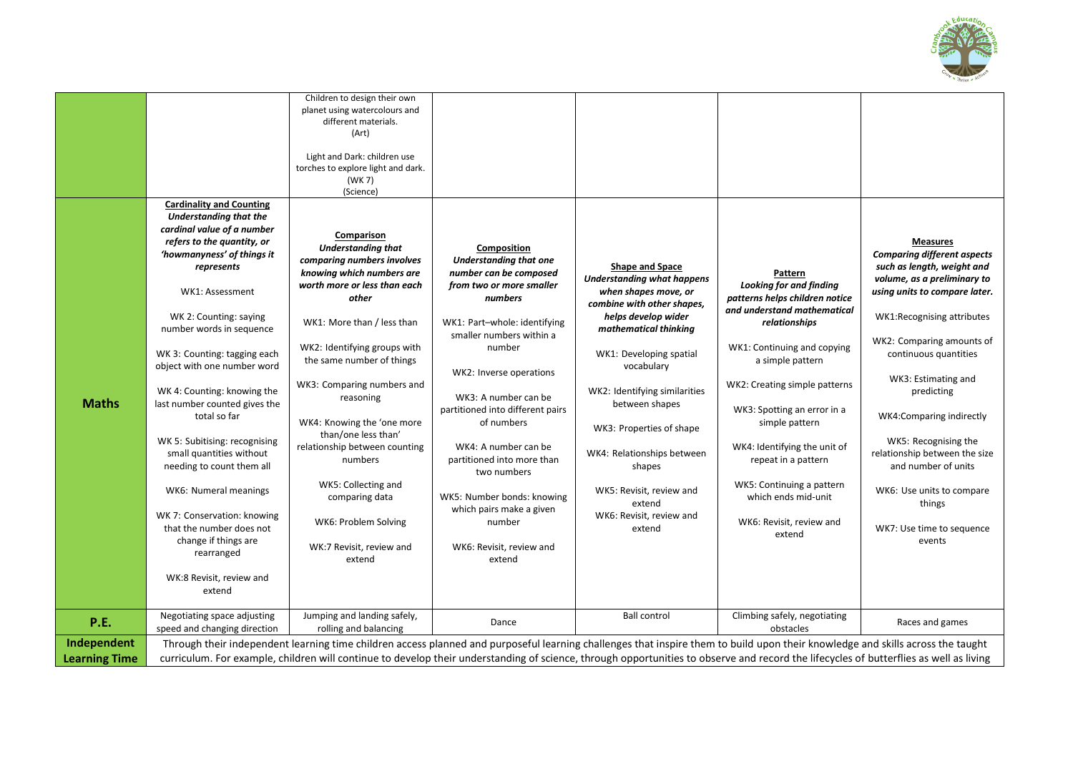

| <b>Maths</b>         | <b>Cardinality and Counting</b><br><b>Understanding that the</b><br>cardinal value of a number<br>refers to the quantity, or<br>'howmanyness' of things it<br>represents<br>WK1: Assessment<br>WK 2: Counting: saying<br>number words in sequence<br>WK 3: Counting: tagging each<br>object with one number word<br>WK 4: Counting: knowing the<br>last number counted gives the<br>total so far<br>WK 5: Subitising: recognising<br>small quantities without<br>needing to count them all<br>WK6: Numeral meanings<br>WK 7: Conservation: knowing<br>that the number does not<br>change if things are<br>rearranged | Children to design their own<br>planet using watercolours and<br>different materials.<br>(Art)<br>Light and Dark: children use<br>torches to explore light and dark.<br>(WK 7)<br>(Science)<br>Comparison<br><b>Understanding that</b><br>comparing numbers involves<br>knowing which numbers are<br>worth more or less than each<br>other<br>WK1: More than / less than<br>WK2: Identifying groups with<br>the same number of things<br>WK3: Comparing numbers and<br>reasoning<br>WK4: Knowing the 'one more<br>than/one less than'<br>relationship between counting<br>numbers<br>WK5: Collecting and<br>comparing data<br>WK6: Problem Solving<br>WK:7 Revisit, review and<br>extend | Composition<br><b>Understanding that one</b><br>number can be composed<br>from two or more smaller<br>numbers<br>WK1: Part-whole: identifying<br>smaller numbers within a<br>number<br>WK2: Inverse operations<br>WK3: A number can be<br>partitioned into different pairs<br>of numbers<br>WK4: A number can be<br>partitioned into more than<br>two numbers<br>WK5: Number bonds: knowing<br>which pairs make a given<br>number<br>WK6: Revisit, review and<br>extend | <b>Shape and Space</b><br><b>Understanding what happens</b><br>when shapes move, or<br>combine with other shapes,<br>helps develop wider<br>mathematical thinking<br>WK1: Developing spatial<br>vocabulary<br>WK2: Identifying similarities<br>between shapes<br>WK3: Properties of shape<br>WK4: Relationships between<br>shapes<br>WK5: Revisit, review and<br>extend<br>WK6: Revisit, review and<br>extend | Pattern<br><b>Looking for and finding</b><br>patterns helps children notice<br>and understand mathematical<br>relationships<br>WK1: Continuing and copying<br>a simple pattern<br>WK2: Creating simple patterns<br>WK3: Spotting an error in a<br>simple pattern<br>WK4: Identifying the unit of<br>repeat in a pattern<br>WK5: Continuing a pattern<br>which ends mid-unit<br>WK6: Revisit, review and<br>extend | <b>Measures</b><br><b>Comparing different aspects</b><br>such as length, weight and<br>volume, as a preliminary to<br>using units to compare later.<br>WK1:Recognising attributes<br>WK2: Comparing amounts of<br>continuous quantities<br>WK3: Estimating and<br>predicting<br>WK4: Comparing indirectly<br>WK5: Recognising the<br>relationship between the size<br>and number of units<br>WK6: Use units to compare<br>things<br>WK7: Use time to sequence<br>events |  |
|----------------------|----------------------------------------------------------------------------------------------------------------------------------------------------------------------------------------------------------------------------------------------------------------------------------------------------------------------------------------------------------------------------------------------------------------------------------------------------------------------------------------------------------------------------------------------------------------------------------------------------------------------|------------------------------------------------------------------------------------------------------------------------------------------------------------------------------------------------------------------------------------------------------------------------------------------------------------------------------------------------------------------------------------------------------------------------------------------------------------------------------------------------------------------------------------------------------------------------------------------------------------------------------------------------------------------------------------------|-------------------------------------------------------------------------------------------------------------------------------------------------------------------------------------------------------------------------------------------------------------------------------------------------------------------------------------------------------------------------------------------------------------------------------------------------------------------------|---------------------------------------------------------------------------------------------------------------------------------------------------------------------------------------------------------------------------------------------------------------------------------------------------------------------------------------------------------------------------------------------------------------|-------------------------------------------------------------------------------------------------------------------------------------------------------------------------------------------------------------------------------------------------------------------------------------------------------------------------------------------------------------------------------------------------------------------|-------------------------------------------------------------------------------------------------------------------------------------------------------------------------------------------------------------------------------------------------------------------------------------------------------------------------------------------------------------------------------------------------------------------------------------------------------------------------|--|
|                      |                                                                                                                                                                                                                                                                                                                                                                                                                                                                                                                                                                                                                      |                                                                                                                                                                                                                                                                                                                                                                                                                                                                                                                                                                                                                                                                                          |                                                                                                                                                                                                                                                                                                                                                                                                                                                                         |                                                                                                                                                                                                                                                                                                                                                                                                               |                                                                                                                                                                                                                                                                                                                                                                                                                   |                                                                                                                                                                                                                                                                                                                                                                                                                                                                         |  |
|                      | WK:8 Revisit, review and                                                                                                                                                                                                                                                                                                                                                                                                                                                                                                                                                                                             |                                                                                                                                                                                                                                                                                                                                                                                                                                                                                                                                                                                                                                                                                          |                                                                                                                                                                                                                                                                                                                                                                                                                                                                         |                                                                                                                                                                                                                                                                                                                                                                                                               |                                                                                                                                                                                                                                                                                                                                                                                                                   |                                                                                                                                                                                                                                                                                                                                                                                                                                                                         |  |
|                      | extend                                                                                                                                                                                                                                                                                                                                                                                                                                                                                                                                                                                                               |                                                                                                                                                                                                                                                                                                                                                                                                                                                                                                                                                                                                                                                                                          |                                                                                                                                                                                                                                                                                                                                                                                                                                                                         |                                                                                                                                                                                                                                                                                                                                                                                                               |                                                                                                                                                                                                                                                                                                                                                                                                                   |                                                                                                                                                                                                                                                                                                                                                                                                                                                                         |  |
| <b>P.E.</b>          | Negotiating space adjusting<br>speed and changing direction                                                                                                                                                                                                                                                                                                                                                                                                                                                                                                                                                          | Jumping and landing safely,<br>rolling and balancing                                                                                                                                                                                                                                                                                                                                                                                                                                                                                                                                                                                                                                     | Dance                                                                                                                                                                                                                                                                                                                                                                                                                                                                   | <b>Ball control</b>                                                                                                                                                                                                                                                                                                                                                                                           | Climbing safely, negotiating<br>obstacles                                                                                                                                                                                                                                                                                                                                                                         | Races and games                                                                                                                                                                                                                                                                                                                                                                                                                                                         |  |
| Independent          | Through their independent learning time children access planned and purposeful learning challenges that inspire them to build upon their knowledge and skills across the taught                                                                                                                                                                                                                                                                                                                                                                                                                                      |                                                                                                                                                                                                                                                                                                                                                                                                                                                                                                                                                                                                                                                                                          |                                                                                                                                                                                                                                                                                                                                                                                                                                                                         |                                                                                                                                                                                                                                                                                                                                                                                                               |                                                                                                                                                                                                                                                                                                                                                                                                                   |                                                                                                                                                                                                                                                                                                                                                                                                                                                                         |  |
|                      | curriculum. For example, children will continue to develop their understanding of science, through opportunities to observe and record the lifecycles of butterflies as well as living                                                                                                                                                                                                                                                                                                                                                                                                                               |                                                                                                                                                                                                                                                                                                                                                                                                                                                                                                                                                                                                                                                                                          |                                                                                                                                                                                                                                                                                                                                                                                                                                                                         |                                                                                                                                                                                                                                                                                                                                                                                                               |                                                                                                                                                                                                                                                                                                                                                                                                                   |                                                                                                                                                                                                                                                                                                                                                                                                                                                                         |  |
| <b>Learning Time</b> |                                                                                                                                                                                                                                                                                                                                                                                                                                                                                                                                                                                                                      |                                                                                                                                                                                                                                                                                                                                                                                                                                                                                                                                                                                                                                                                                          |                                                                                                                                                                                                                                                                                                                                                                                                                                                                         |                                                                                                                                                                                                                                                                                                                                                                                                               |                                                                                                                                                                                                                                                                                                                                                                                                                   |                                                                                                                                                                                                                                                                                                                                                                                                                                                                         |  |